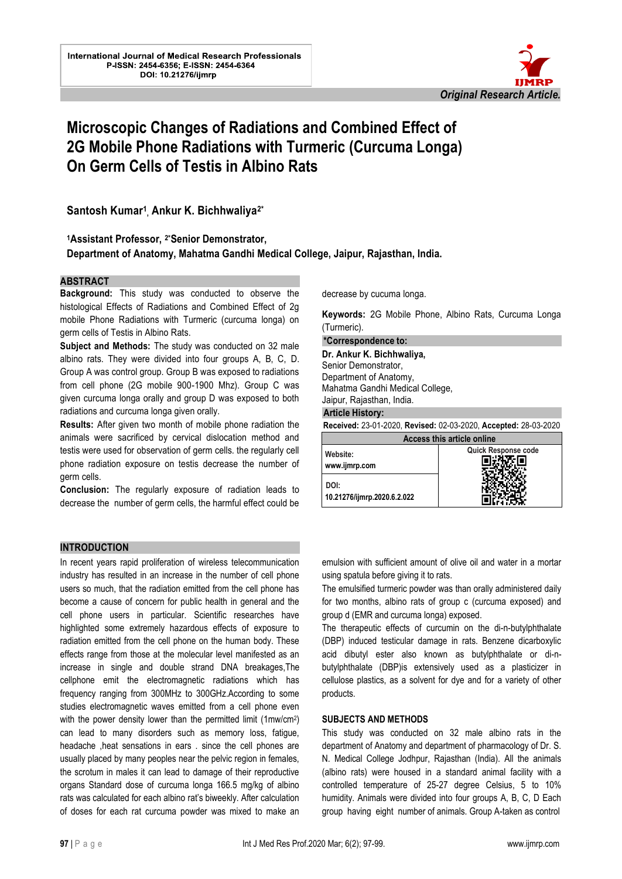

# **Microscopic Changes of Radiations and Combined Effect of 2G Mobile Phone Radiations with Turmeric (Curcuma Longa) On Germ Cells of Testis in Albino Rats**

**Santosh Kumar<sup>1</sup> , Ankur K. Bichhwaliya2\***

### **<sup>1</sup>Assistant Professor, 2\*Senior Demonstrator,**

**Department of Anatomy, Mahatma Gandhi Medical College, Jaipur, Rajasthan, India.**

#### **ABSTRACT**

**Background:** This study was conducted to observe the histological Effects of Radiations and Combined Effect of 2g mobile Phone Radiations with Turmeric (curcuma longa) on germ cells of Testis in Albino Rats.

**Subject and Methods:** The study was conducted on 32 male albino rats. They were divided into four groups A, B, C, D. Group A was control group. Group B was exposed to radiations from cell phone (2G mobile 900-1900 Mhz). Group C was given curcuma longa orally and group D was exposed to both radiations and curcuma longa given orally.

**Results:** After given two month of mobile phone radiation the animals were sacrificed by cervical dislocation method and testis were used for observation of germ cells. the regularly cell phone radiation exposure on testis decrease the number of germ cells.

**Conclusion:** The regularly exposure of radiation leads to decrease the number of germ cells, the harmful effect could be decrease by cucuma longa.

**Keywords:** 2G Mobile Phone, Albino Rats, Curcuma Longa (Turmeric).

**\*Correspondence to:**

l.

**Dr. Ankur K. Bichhwaliya,** Senior Demonstrator, Department of Anatomy, Mahatma Gandhi Medical College, Jaipur, Rajasthan, India.

#### **Article History:**

**Received:** 23-01-2020, **Revised:** 02-03-2020, **Accepted:** 28-03-2020

| Access this article online          |                            |  |  |
|-------------------------------------|----------------------------|--|--|
| Website:<br>www.ijmrp.com           | <b>Quick Response code</b> |  |  |
| DOI:<br>10.21276/ijmrp.2020.6.2.022 |                            |  |  |

#### **INTRODUCTION**

In recent years rapid proliferation of wireless telecommunication industry has resulted in an increase in the number of cell phone users so much, that the radiation emitted from the cell phone has become a cause of concern for public health in general and the cell phone users in particular. Scientific researches have highlighted some extremely hazardous effects of exposure to radiation emitted from the cell phone on the human body. These effects range from those at the molecular level manifested as an increase in single and double strand DNA breakages,The cellphone emit the electromagnetic radiations which has frequency ranging from 300MHz to 300GHz.According to some studies electromagnetic waves emitted from a cell phone even with the power density lower than the permitted limit (1mw/cm<sup>2</sup> ) can lead to many disorders such as memory loss, fatigue, headache ,heat sensations in ears . since the cell phones are usually placed by many peoples near the pelvic region in females, the scrotum in males it can lead to damage of their reproductive organs Standard dose of curcuma longa 166.5 mg/kg of albino rats was calculated for each albino rat's biweekly. After calculation of doses for each rat curcuma powder was mixed to make an

emulsion with sufficient amount of olive oil and water in a mortar using spatula before giving it to rats.

The emulsified turmeric powder was than orally administered daily for two months, albino rats of group c (curcuma exposed) and group d (EMR and curcuma longa) exposed.

The therapeutic effects of curcumin on the di-n-butylphthalate (DBP) induced testicular damage in rats. Benzene dicarboxylic acid dibutyl ester also known as butylphthalate or di-nbutylphthalate (DBP)is extensively used as a plasticizer in cellulose plastics, as a solvent for dye and for a variety of other products.

#### **SUBJECTS AND METHODS**

This study was conducted on 32 male albino rats in the department of Anatomy and department of pharmacology of Dr. S. N. Medical College Jodhpur, Rajasthan (India). All the animals (albino rats) were housed in a standard animal facility with a controlled temperature of 25-27 degree Celsius, 5 to 10% humidity. Animals were divided into four groups A, B, C, D Each group having eight number of animals. Group A-taken as control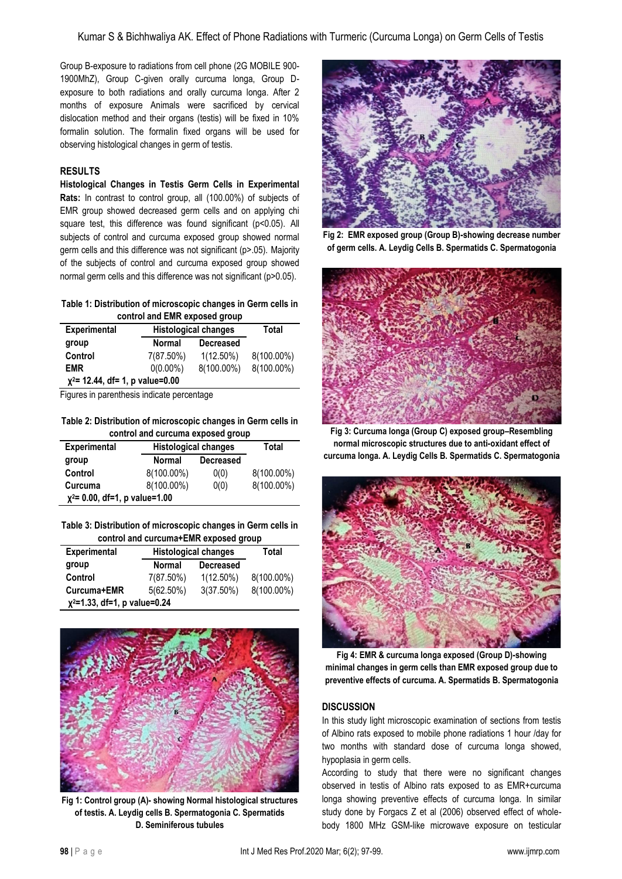Group B-exposure to radiations from cell phone (2G MOBILE 900- 1900MhZ), Group C-given orally curcuma longa, Group Dexposure to both radiations and orally curcuma longa. After 2 months of exposure Animals were sacrificed by cervical dislocation method and their organs (testis) will be fixed in 10% formalin solution. The formalin fixed organs will be used for observing histological changes in germ of testis.

## **RESULTS**

**Histological Changes in Testis Germ Cells in Experimental Rats:** In contrast to control group, all (100.00%) of subjects of EMR group showed decreased germ cells and on applying chi square test, this difference was found significant (p<0.05). All subjects of control and curcuma exposed group showed normal germ cells and this difference was not significant (p>.05). Majority of the subjects of control and curcuma exposed group showed normal germ cells and this difference was not significant (p>0.05).

#### **Table 1: Distribution of microscopic changes in Germ cells in control and EMR exposed group**

| COTTUOI AIN LIVIIV CAPOSCU GIOUP    |                             |                  |            |  |  |
|-------------------------------------|-----------------------------|------------------|------------|--|--|
| <b>Experimental</b>                 | <b>Histological changes</b> |                  | Total      |  |  |
| group                               | <b>Normal</b>               | <b>Decreased</b> |            |  |  |
| Control                             | 7(87.50%)                   | $1(12.50\%)$     | 8(100.00%) |  |  |
| <b>EMR</b>                          | $0(0.00\%)$                 | 8(100.00%)       | 8(100.00%) |  |  |
| $x^2$ = 12.44, df = 1, p value=0.00 |                             |                  |            |  |  |

Figures in parenthesis indicate percentage

## **Table 2: Distribution of microscopic changes in Germ cells in control and curcuma exposed group**

| <b>Experimental</b>              |            | <b>Histological changes</b> |            |
|----------------------------------|------------|-----------------------------|------------|
| group                            | Normal     | <b>Decreased</b>            |            |
| Control                          | 8(100.00%) | 0(0)                        | 8(100.00%) |
| Curcuma                          | 8(100.00%) | 0(0)                        | 8(100.00%) |
| $x^2$ = 0.00, df=1, p value=1.00 |            |                             |            |

**Table 3: Distribution of microscopic changes in Germ cells in control and curcuma+EMR exposed group**

| <b>Experimental</b>             | <b>Histological changes</b> |                  | Total      |  |
|---------------------------------|-----------------------------|------------------|------------|--|
| group                           | Normal                      | <b>Decreased</b> |            |  |
| Control                         | 7(87.50%)                   | $1(12.50\%)$     | 8(100.00%) |  |
| Curcuma+EMR                     | 5(62.50%)                   | 3(37.50%)        | 8(100.00%) |  |
| $x^2$ =1.33, df=1, p value=0.24 |                             |                  |            |  |



**Fig 1: Control group (A)- showing Normal histological structures of testis. A. Leydig cells B. Spermatogonia C. Spermatids D. Seminiferous tubules**



**Fig 2: EMR exposed group (Group B)-showing decrease number of germ cells. A. Leydig Cells B. Spermatids C. Spermatogonia**



**Fig 3: Curcuma longa (Group C) exposed group–Resembling normal microscopic structures due to anti-oxidant effect of curcuma longa. A. Leydig Cells B. Spermatids C. Spermatogonia**



**Fig 4: EMR & curcuma longa exposed (Group D)-showing minimal changes in germ cells than EMR exposed group due to preventive effects of curcuma. A. Spermatids B. Spermatogonia**

# **DISCUSSION**

In this study light microscopic examination of sections from testis of Albino rats exposed to mobile phone radiations 1 hour /day for two months with standard dose of curcuma longa showed, hypoplasia in germ cells.

According to study that there were no significant changes observed in testis of Albino rats exposed to as EMR+curcuma longa showing preventive effects of curcuma longa. In similar study done by Forgacs Z et al (2006) observed effect of wholebody 1800 MHz GSM-like microwave exposure on testicular